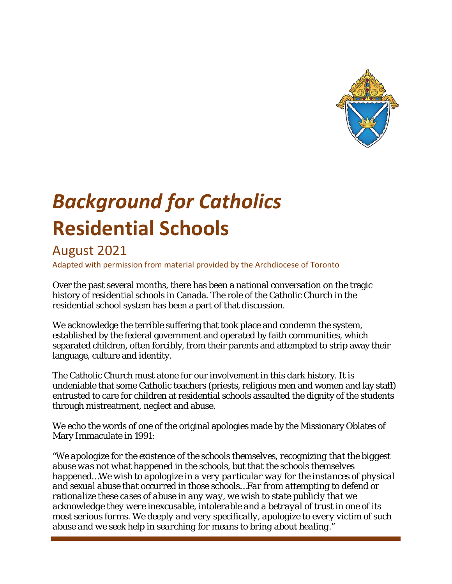

# *Background for Catholics* **Residential Schools**

## August 2021

Adapted with permission from material provided by the Archdiocese of Toronto

Over the past several months, there has been a national conversation on the tragic history of residential schools in Canada. The role of the Catholic Church in the residential school system has been a part of that discussion.

We acknowledge the terrible suffering that took place and condemn the system, established by the federal government and operated by faith communities, which separated children, often forcibly, from their parents and attempted to strip away their language, culture and identity.

The Catholic Church must atone for our involvement in this dark history. It is undeniable that some Catholic teachers (priests, religious men and women and lay staff) entrusted to care for children at residential schools assaulted the dignity of the students through mistreatment, neglect and abuse.

We echo the words of one of the original apologies made by the Missionary Oblates of Mary Immaculate in 1991:

*"We apologize for the existence of the schools themselves, recognizing that the biggest abuse was not what happened in the schools, but that the schools themselves happened…We wish to apologize in a very particular way for the instances of physical and sexual abuse that occurred in those schools…Far from attempting to defend or rationalize these cases of abuse in any way, we wish to state publicly that we acknowledge they were inexcusable, intolerable and a betrayal of trust in one of its most serious forms. We deeply and very specifically, apologize to every victim of such abuse and we seek help in searching for means to bring about healing."*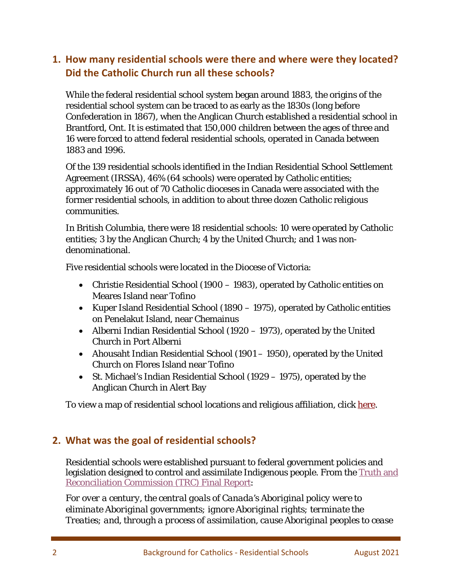## **1. How many residential schools were there and where were they located? Did the Catholic Church run all these schools?**

While the federal residential school system began around 1883, the origins of the residential school system can be traced to as early as the 1830s (long before Confederation in 1867), when the Anglican Church established a residential school in Brantford, Ont. It is estimated that 150,000 children between the ages of three and 16 were forced to attend federal residential schools, operated in Canada between 1883 and 1996.

Of the 139 residential schools identified in the Indian Residential School Settlement Agreement (IRSSA), 46% (64 schools) were operated by Catholic entities; approximately 16 out of 70 Catholic dioceses in Canada were associated with the former residential schools, in addition to about three dozen Catholic religious communities.

In British Columbia, there were 18 residential schools: 10 were operated by Catholic entities; 3 by the Anglican Church; 4 by the United Church; and 1 was nondenominational.

Five residential schools were located in the Diocese of Victoria:

- Christie Residential School (1900 1983), operated by Catholic entities on Meares Island near Tofino
- Kuper Island Residential School (1890 1975), operated by Catholic entities on Penelakut Island, near Chemainus
- Alberni Indian Residential School (1920 1973), operated by the United Church in Port Alberni
- Ahousaht Indian Residential School (1901 1950), operated by the United Church on Flores Island near Tofino
- St. Michael's Indian Residential School (1929 1975), operated by the Anglican Church in Alert Bay

To view a map of residential school locations and religious affiliation, click here.

### **2. What was the goal of residential schools?**

Residential schools were established pursuant to federal government policies and legislation designed to control and assimilate Indigenous people. From the Truth and Reconciliation Commission (TRC) Final Report:

*For over a century, the central goals of Canada's Aboriginal policy were to eliminate Aboriginal governments; ignore Aboriginal rights; terminate the Treaties; and, through a process of assimilation, cause Aboriginal peoples to cease*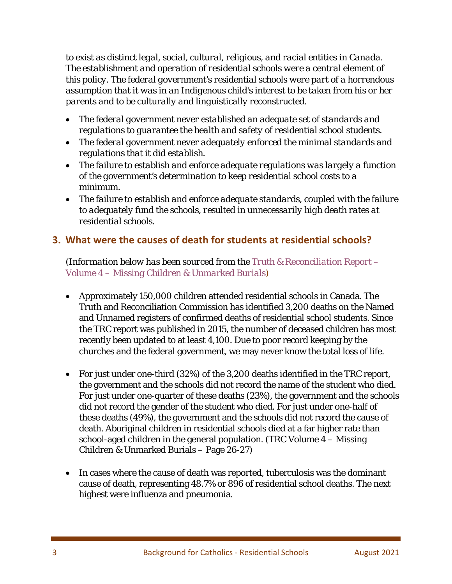*to exist as distinct legal, social, cultural, religious, and racial entities in Canada. The establishment and operation of residential schools were a central element of this policy. The federal government's residential schools were part of a horrendous assumption that it was in an Indigenous child's interest to be taken from his or her parents and to be culturally and linguistically reconstructed.*

- *The federal government never established an adequate set of standards and regulations to guarantee the health and safety of residential school students.*
- *The federal government never adequately enforced the minimal standards and regulations that it did establish.*
- *The failure to establish and enforce adequate regulations was largely a function of the government's determination to keep residential school costs to a minimum.*
- *The failure to establish and enforce adequate standards, coupled with the failure to adequately fund the schools, resulted in unnecessarily high death rates at residential schools.*

## **3. What were the causes of death for students at residential schools?**

*(Information below has been sourced from the Truth & Reconciliation Report – Volume 4 – Missing Children & Unmarked Burials)*

- Approximately 150,000 children attended residential schools in Canada. The Truth and Reconciliation Commission has identified 3,200 deaths on the Named and Unnamed registers of confirmed deaths of residential school students. Since the TRC report was published in 2015, the number of deceased children has most recently been updated to at least 4,100. Due to poor record keeping by the churches and the federal government, we may never know the total loss of life.
- For just under one-third (32%) of the 3,200 deaths identified in the TRC report, the government and the schools did not record the name of the student who died. For just under one-quarter of these deaths (23%), the government and the schools did not record the gender of the student who died. For just under one-half of these deaths (49%), the government and the schools did not record the cause of death. Aboriginal children in residential schools died at a far higher rate than school-aged children in the general population. (TRC Volume 4 – Missing Children & Unmarked Burials – Page 26-27)
- In cases where the cause of death was reported, tuberculosis was the dominant cause of death, representing 48.7% or 896 of residential school deaths. The next highest were influenza and pneumonia.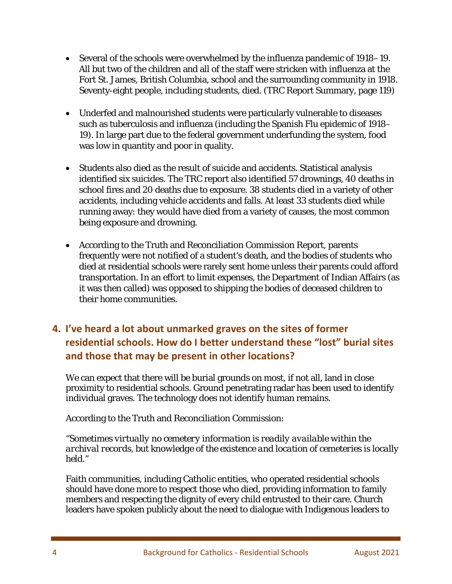- Several of the schools were overwhelmed by the influenza pandemic of 1918–19. All but two of the children and all of the staff were stricken with influenza at the Fort St. James, British Columbia, school and the surrounding community in 1918. Seventy-eight people, including students, died. (TRC Report Summary, page 119)
- Underfed and malnourished students were particularly vulnerable to diseases such as tuberculosis and influenza (including the Spanish Flu epidemic of 1918– 19). In large part due to the federal government underfunding the system, food was low in quantity and poor in quality.
- Students also died as the result of suicide and accidents. Statistical analysis identified six suicides. The TRC report also identified 57 drownings, 40 deaths in school fires and 20 deaths due to exposure. 38 students died in a variety of other accidents, including vehicle accidents and falls. At least 33 students died while running away: they would have died from a variety of causes, the most common being exposure and drowning.
- According to the Truth and Reconciliation Commission Report, parents frequently were not notified of a student's death, and the bodies of students who died at residential schools were rarely sent home unless their parents could afford transportation. In an effort to limit expenses, the Department of Indian Affairs (as it was then called) was opposed to shipping the bodies of deceased children to their home communities.

## **4. I've heard a lot about unmarked graves on the sites of former residential schools. How do I better understand these "lost" burial sites and those that may be present in other locations?**

We can expect that there will be burial grounds on most, if not all, land in close proximity to residential schools. Ground penetrating radar has been used to identify individual graves. The technology does not identify human remains.

According to the Truth and Reconciliation Commission:

"*Sometimes virtually no cemetery information is readily available within the archival records, but knowledge of the existence and location of cemeteries is locally held*."

Faith communities, including Catholic entities, who operated residential schools should have done more to respect those who died, providing information to family members and respecting the dignity of every child entrusted to their care. Church leaders have spoken publicly about the need to dialogue with Indigenous leaders to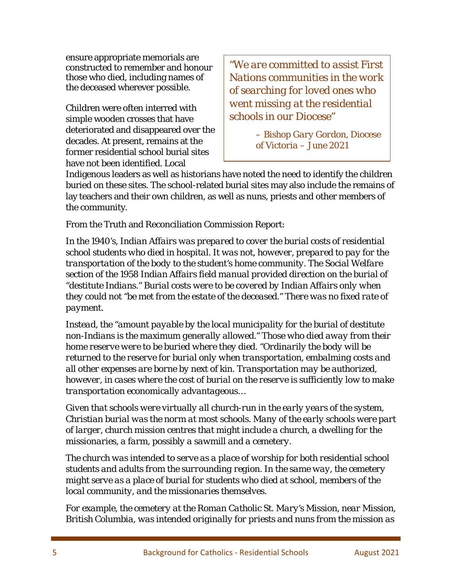ensure appropriate memorials are constructed to remember and honour those who died, including names of the deceased wherever possible.

Children were often interred with simple wooden crosses that have deteriorated and disappeared over the decades. At present, remains at the former residential school burial sites have not been identified. Local

*"We are committed to assist First Nations communities in the work of searching for loved ones who went missing at the residential schools in our Diocese"*

> *– Bishop Gary Gordon, Diocese of Victoria – June 2021*

Indigenous leaders as well as historians have noted the need to identify the children buried on these sites. The school-related burial sites may also include the remains of lay teachers and their own children, as well as nuns, priests and other members of the community.

From the Truth and Reconciliation Commission Report:

*In the 1940's, Indian Affairs was prepared to cover the burial costs of residential school students who died in hospital. It was not, however, prepared to pay for the transportation of the body to the student's home community. The Social Welfare section of the 1958 Indian Affairs field manual provided direction on the burial of "destitute Indians." Burial costs were to be covered by Indian Affairs only when they could not "be met from the estate of the deceased." There was no fixed rate of payment.* 

*Instead, the "amount payable by the local municipality for the burial of destitute non-Indians is the maximum generally allowed." Those who died away from their home reserve were to be buried where they died. "Ordinarily the body will be returned to the reserve for burial only when transportation, embalming costs and all other expenses are borne by next of kin. Transportation may be authorized, however, in cases where the cost of burial on the reserve is sufficiently low to make transportation economically advantageous…*

*Given that schools were virtually all church-run in the early years of the system, Christian burial was the norm at most schools. Many of the early schools were part of larger, church mission centres that might include a church, a dwelling for the missionaries, a farm, possibly a sawmill and a cemetery.* 

*The church was intended to serve as a place of worship for both residential school students and adults from the surrounding region. In the same way, the cemetery might serve as a place of burial for students who died at school, members of the local community, and the missionaries themselves.* 

*For example, the cemetery at the Roman Catholic St. Mary's Mission, near Mission, British Columbia, was intended originally for priests and nuns from the mission as*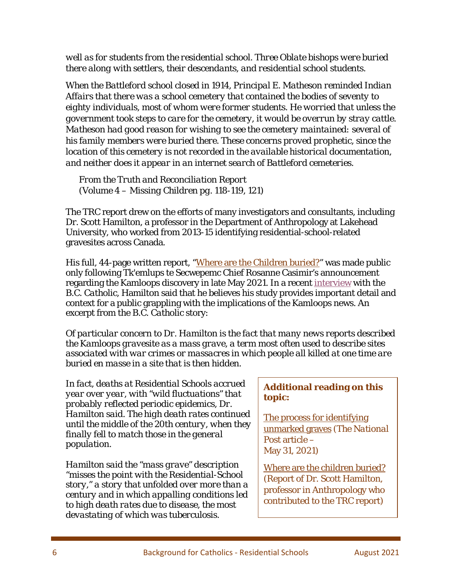*well as for students from the residential school. Three Oblate bishops were buried there along with settlers, their descendants, and residential school students.* 

*When the Battleford school closed in 1914, Principal E. Matheson reminded Indian Affairs that there was a school cemetery that contained the bodies of seventy to eighty individuals, most of whom were former students. He worried that unless the government took steps to care for the cemetery, it would be overrun by stray cattle. Matheson had good reason for wishing to see the cemetery maintained: several of his family members were buried there. These concerns proved prophetic, since the location of this cemetery is not recorded in the available historical documentation, and neither does it appear in an internet search of Battleford cemeteries.* 

*From the Truth and Reconciliation Report (Volume 4 – Missing Children pg. 118-119, 121)*

The TRC report drew on the efforts of many investigators and consultants, including Dr. Scott Hamilton, a professor in the Department of Anthropology at Lakehead University, who worked from 2013-15 identifying residential-school-related gravesites across Canada.

His full, 44-page written report, "Where are the Children buried?" was made public only following Tk'emlups te Secwepemc Chief Rosanne Casimir's announcement regarding the Kamloops discovery in late May 2021. In a recent interview with the *B.C. Catholic*, Hamilton said that he believes his study provides important detail and context for a public grappling with the implications of the Kamloops news. An excerpt from the *B.C. Catholic* story:

*Of particular concern to Dr. Hamilton is the fact that many news reports described the Kamloops gravesite as a mass grave, a term most often used to describe sites associated with war crimes or massacres in which people all killed at one time are buried en masse in a site that is then hidden.*

*In fact, deaths at Residential Schools accrued year over year, with "wild fluctuations" that probably reflected periodic epidemics, Dr. Hamilton said. The high death rates continued until the middle of the 20th century, when they finally fell to match those in the general population.*

*Hamilton said the "mass grave" description "misses the point with the Residential-School story," a story that unfolded over more than a century and in which appalling conditions led to high death rates due to disease, the most devastating of which was tuberculosis.*

#### **Additional reading on this topic:**

The process for identifying unmarked graves (*The National Post* article – May 31, 2021)

Where are the children buried? (Report of Dr. Scott Hamilton, professor in Anthropology who contributed to the TRC report)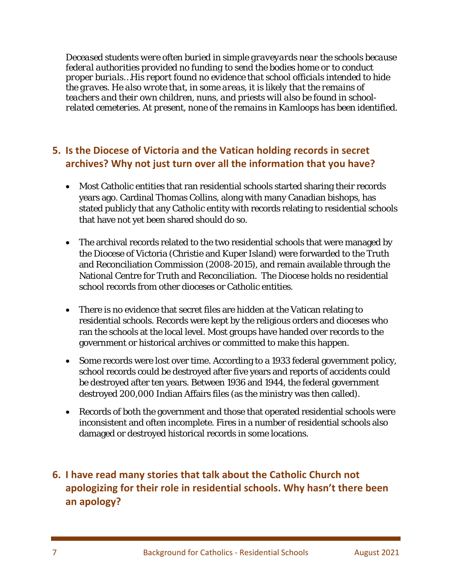*Deceased students were often buried in simple graveyards near the schools because federal authorities provided no funding to send the bodies home or to conduct proper burials…His report found no evidence that school officials intended to hide the graves. He also wrote that, in some areas, it is likely that the remains of teachers and their own children, nuns, and priests will also be found in schoolrelated cemeteries. At present, none of the remains in Kamloops has been identified.*

## **5. Is the Diocese of Victoria and the Vatican holding records in secret archives? Why not just turn over all the information that you have?**

- Most Catholic entities that ran residential schools started sharing their records years ago. Cardinal Thomas Collins, along with many Canadian bishops, has stated publicly that any Catholic entity with records relating to residential schools that have not yet been shared should do so.
- The archival records related to the two residential schools that were managed by the Diocese of Victoria (Christie and Kuper Island) were forwarded to the Truth and Reconciliation Commission (2008-2015), and remain available through the National Centre for Truth and Reconciliation. The Diocese holds no residential school records from other dioceses or Catholic entities.
- There is no evidence that secret files are hidden at the Vatican relating to residential schools. Records were kept by the religious orders and dioceses who ran the schools at the local level. Most groups have handed over records to the government or historical archives or committed to make this happen.
- Some records were lost over time. According to a 1933 federal government policy, school records could be destroyed after five years and reports of accidents could be destroyed after ten years. Between 1936 and 1944, the federal government destroyed 200,000 Indian Affairs files (as the ministry was then called).
- Records of both the government and those that operated residential schools were inconsistent and often incomplete. Fires in a number of residential schools also damaged or destroyed historical records in some locations.

## **6. I have read many stories that talk about the Catholic Church not apologizing for their role in residential schools. Why hasn't there been an apology?**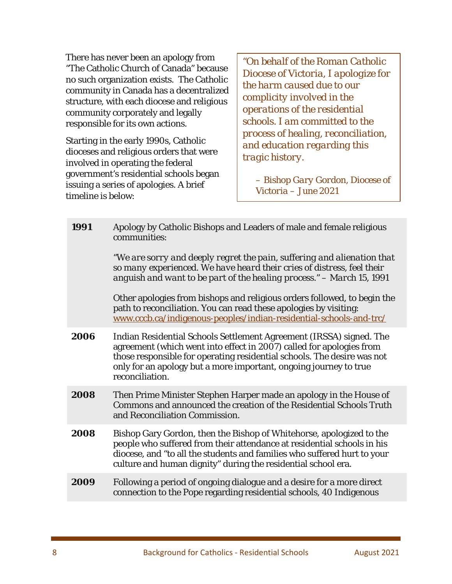There has never been an apology from "The Catholic Church of Canada" because no such organization exists. The Catholic community in Canada has a decentralized structure, with each diocese and religious community corporately and legally responsible for its own actions.

Starting in the early 1990s, Catholic dioceses and religious orders that were involved in operating the federal government's residential schools began issuing a series of apologies. A brief timeline is below:

*"On behalf of the Roman Catholic Diocese of Victoria, I apologize for the harm caused due to our complicity involved in the operations of the residential schools. I am committed to the process of healing, reconciliation, and education regarding this tragic history.*

*– Bishop Gary Gordon, Diocese of Victoria – June 2021*

| 1991 | Apology by Catholic Bishops and Leaders of male and female religious<br>communities:<br>"We are sorry and deeply regret the pain, suffering and alienation that<br>so many experienced. We have heard their cries of distress, feel their<br>anguish and want to be part of the healing process." - March 15, 1991 |
|------|--------------------------------------------------------------------------------------------------------------------------------------------------------------------------------------------------------------------------------------------------------------------------------------------------------------------|
|      | Other apologies from bishops and religious orders followed, to begin the<br>path to reconciliation. You can read these apologies by visiting:<br>www.cccb.ca/indigenous-peoples/indian-residential-schools-and-trc/                                                                                                |
| 2006 | Indian Residential Schools Settlement Agreement (IRSSA) signed. The<br>agreement (which went into effect in 2007) called for apologies from<br>those responsible for operating residential schools. The desire was not<br>only for an apology but a more important, ongoing journey to true<br>reconciliation.     |
| 2008 | Then Prime Minister Stephen Harper made an apology in the House of<br>Commons and announced the creation of the Residential Schools Truth<br>and Reconciliation Commission.                                                                                                                                        |
| 2008 | Bishop Gary Gordon, then the Bishop of Whitehorse, apologized to the<br>people who suffered from their attendance at residential schools in his<br>diocese, and "to all the students and families who suffered hurt to your<br>culture and human dignity" during the residential school era.                       |
| 2009 | Following a period of ongoing dialogue and a desire for a more direct<br>connection to the Pope regarding residential schools, 40 Indigenous                                                                                                                                                                       |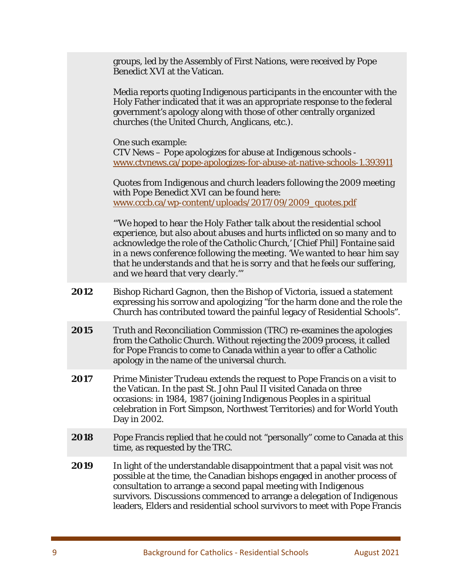|      | groups, led by the Assembly of First Nations, were received by Pope<br>Benedict XVI at the Vatican.                                                                                                                                                                                                                                                                                                                   |
|------|-----------------------------------------------------------------------------------------------------------------------------------------------------------------------------------------------------------------------------------------------------------------------------------------------------------------------------------------------------------------------------------------------------------------------|
|      | Media reports quoting Indigenous participants in the encounter with the<br>Holy Father indicated that it was an appropriate response to the federal<br>government's apology along with those of other centrally organized<br>churches (the United Church, Anglicans, etc.).                                                                                                                                           |
|      | One such example:<br>CTV News – Pope apologizes for abuse at Indigenous schools -<br>www.ctvnews.ca/pope-apologizes-for-abuse-at-native-schools-1.393911                                                                                                                                                                                                                                                              |
|      | Quotes from Indigenous and church leaders following the 2009 meeting<br>with Pope Benedict XVI can be found here:<br>www.cccb.ca/wp-content/uploads/2017/09/2009 quotes.pdf                                                                                                                                                                                                                                           |
|      | "We hoped to hear the Holy Father talk about the residential school<br>experience, but also about abuses and hurts inflicted on so many and to<br>acknowledge the role of the Catholic Church,' [Chief Phil] Fontaine said<br>in a news conference following the meeting. 'We wanted to hear him say<br>that he understands and that he is sorry and that he feels our suffering,<br>and we heard that very clearly." |
| 2012 | Bishop Richard Gagnon, then the Bishop of Victoria, issued a statement<br>expressing his sorrow and apologizing "for the harm done and the role the<br>Church has contributed toward the painful legacy of Residential Schools".                                                                                                                                                                                      |
| 2015 | Truth and Reconciliation Commission (TRC) re-examines the apologies<br>from the Catholic Church. Without rejecting the 2009 process, it called<br>for Pope Francis to come to Canada within a year to offer a Catholic<br>apology in the name of the universal church.                                                                                                                                                |
| 2017 | Prime Minister Trudeau extends the request to Pope Francis on a visit to<br>the Vatican. In the past St. John Paul II visited Canada on three<br>occasions: in 1984, 1987 (joining Indigenous Peoples in a spiritual<br>celebration in Fort Simpson, Northwest Territories) and for World Youth<br>Day in 2002.                                                                                                       |
| 2018 | Pope Francis replied that he could not "personally" come to Canada at this<br>time, as requested by the TRC.                                                                                                                                                                                                                                                                                                          |
| 2019 | In light of the understandable disappointment that a papal visit was not<br>possible at the time, the Canadian bishops engaged in another process of<br>consultation to arrange a second papal meeting with Indigenous<br>survivors. Discussions commenced to arrange a delegation of Indigenous<br>leaders, Elders and residential school survivors to meet with Pope Francis                                        |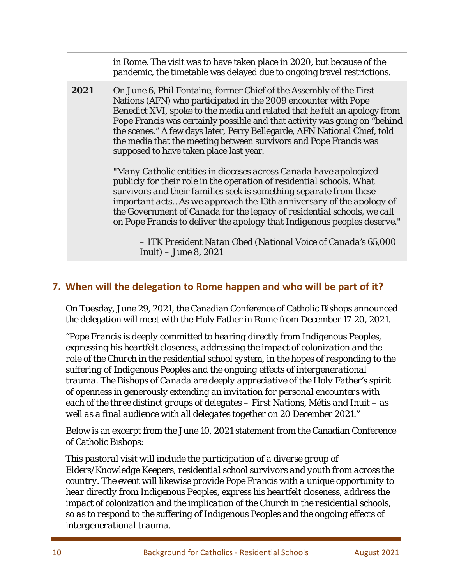in Rome. The visit was to have taken place in 2020, but because of the pandemic, the timetable was delayed due to ongoing travel restrictions. **2021** On June 6, Phil Fontaine, former Chief of the Assembly of the First Nations (AFN) who participated in the 2009 encounter with Pope Benedict XVI, spoke to the media and related that he felt an apology from Pope Francis was certainly possible and that activity was going on "behind the scenes." A few days later, Perry Bellegarde, AFN National Chief, told the media that the meeting between survivors and Pope Francis was supposed to have taken place last year. *"Many Catholic entities in dioceses across Canada have apologized publicly for their role in the operation of residential schools. What survivors and their families seek is something separate from these important acts…As we approach the 13th anniversary of the apology of the Government of Canada for the legacy of residential schools, we call on Pope Francis to deliver the apology that Indigenous peoples deserve."* 

> *– ITK President Natan Obed (National Voice of Canada's 65,000 Inuit) – June 8, 2021*

#### **7. When will the delegation to Rome happen and who will be part of it?**

On Tuesday, June 29, 2021, the Canadian Conference of Catholic Bishops announced the delegation will meet with the Holy Father in Rome from December 17-20, 2021.

"*Pope Francis is deeply committed to hearing directly from Indigenous Peoples, expressing his heartfelt closeness, addressing the impact of colonization and the role of the Church in the residential school system, in the hopes of responding to the suffering of Indigenous Peoples and the ongoing effects of intergenerational trauma. The Bishops of Canada are deeply appreciative of the Holy Father's spirit of openness in generously extending an invitation for personal encounters with each of the three distinct groups of delegates – First Nations, Métis and Inuit – as well as a final audience with all delegates together on 20 December 2021."*

Below is an excerpt from the June 10, 2021 statement from the Canadian Conference of Catholic Bishops:

*This pastoral visit will include the participation of a diverse group of Elders/Knowledge Keepers, residential school survivors and youth from across the country. The event will likewise provide Pope Francis with a unique opportunity to hear directly from Indigenous Peoples, express his heartfelt closeness, address the impact of colonization and the implication of the Church in the residential schools, so as to respond to the suffering of Indigenous Peoples and the ongoing effects of intergenerational trauma.*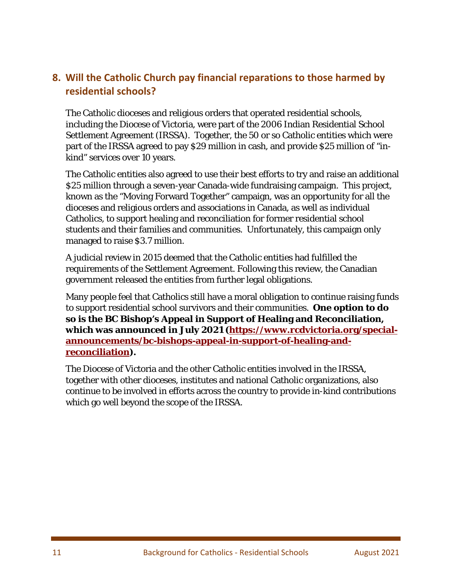## **8. Will the Catholic Church pay financial reparations to those harmed by residential schools?**

The Catholic dioceses and religious orders that operated residential schools, including the Diocese of Victoria, were part of the 2006 Indian Residential School Settlement Agreement (IRSSA). Together, the 50 or so Catholic entities which were part of the IRSSA agreed to pay \$29 million in cash, and provide \$25 million of "inkind" services over 10 years.

The Catholic entities also agreed to use their best efforts to try and raise an additional \$25 million through a seven-year Canada-wide fundraising campaign. This project, known as the "Moving Forward Together" campaign, was an opportunity for all the dioceses and religious orders and associations in Canada, as well as individual Catholics, to support healing and reconciliation for former residential school students and their families and communities. Unfortunately, this campaign only managed to raise \$3.7 million.

A judicial review in 2015 deemed that the Catholic entities had fulfilled the requirements of the Settlement Agreement. Following this review, the Canadian government released the entities from further legal obligations.

Many people feel that Catholics still have a moral obligation to continue raising funds to support residential school survivors and their communities. **One option to do so is the BC Bishop's Appeal in Support of Healing and Reconciliation, which was announced in July 2021 (https://www.rcdvictoria.org/specialannouncements/bc-bishops-appeal-in-support-of-healing-andreconciliation).**

The Diocese of Victoria and the other Catholic entities involved in the IRSSA, together with other dioceses, institutes and national Catholic organizations, also continue to be involved in efforts across the country to provide in-kind contributions which go well beyond the scope of the IRSSA.